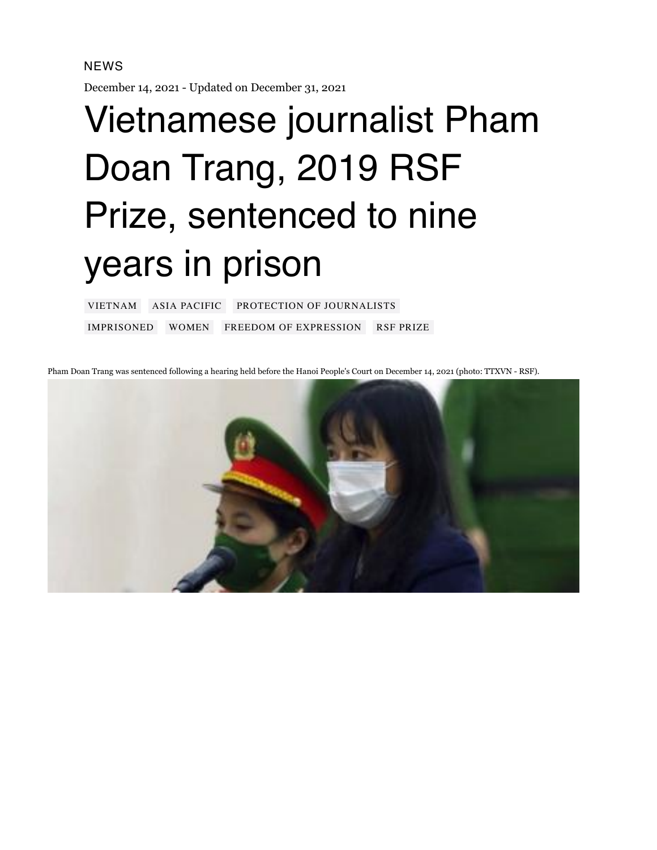## NEWS

December 14, 2021 - Updated on December 31, 2021

## Vietnamese journalist Pham Doan Trang, 2019 RSF Prize, sentenced to nine years in prison

[VIETNAM](https://rsf.org/fr/vietnam) ASIA [PACIFIC](https://rsf.org/fr/asie-pacifique) PROTECTION OF [JOURNALISTS](https://rsf.org/fr/actions/protection-des-journalistes) [IMPRISONED](https://rsf.org/fr/thematique/covid19?thematique%5B242%5D=242) [WOMEN](https://rsf.org/fr/thematique/covid19?thematique%5B222%5D=222) FREEDOM OF [EXPRESSION](https://rsf.org/fr/thematique/covid19?thematique%5B244%5D=244) RSF [PRIZE](https://rsf.org/fr/thematique/covid19?thematique%5B250%5D=250)

Pham Doan Trang was sentenced following a hearing held before the Hanoi People's Court on December 14, 2021 (photo: TTXVN - RSF).

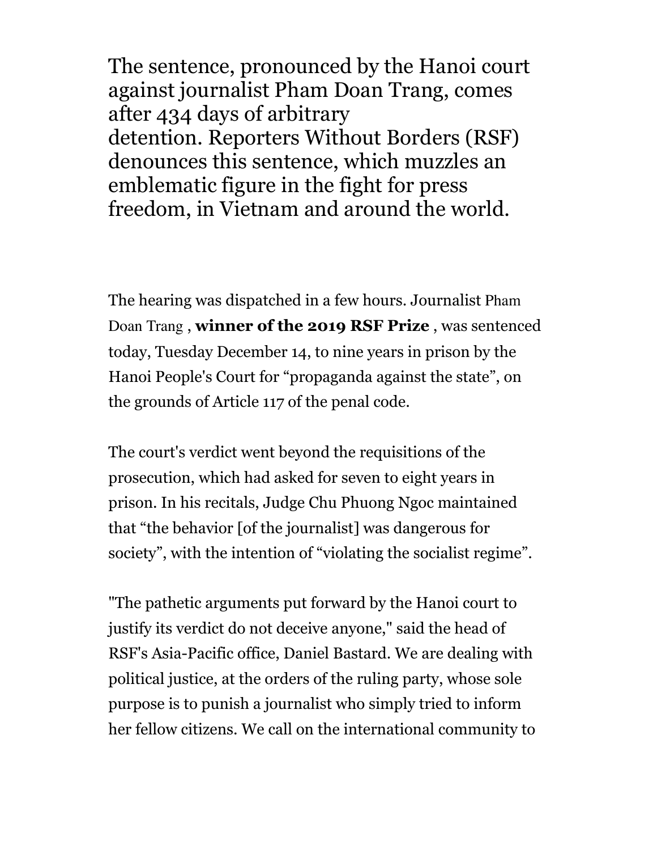The sentence, pronounced by the Hanoi court against journalist Pham Doan Trang, comes after 434 days of arbitrary detention. Reporters Without Borders (RSF) denounces this sentence, which muzzles an emblematic figure in the fight for press freedom, in Vietnam and around the world.

The hearing was dispatched in a few hours. Journalist Pham Doan Trang , **winner of the 2019 [RSF Prize](https://rsf.org/fr/actualites/la-saoudienne-eman-al-nafjan-la-vietnamienne-pham-doan-trang-et-la-maltaise-caroline-muscat)** , was sentenced today, Tuesday December 14, to nine years in prison by the Hanoi People's Court for "propaganda against the state", on the grounds of Article 117 of the penal code.

The court's verdict went beyond the requisitions of the prosecution, which had asked for seven to eight years in prison. In his recitals, Judge Chu Phuong Ngoc maintained that "the behavior [of the journalist] was dangerous for society", with the intention of "violating the socialist regime".

"The pathetic arguments put forward by the Hanoi court to justify its verdict do not deceive anyone," said the head of RSF's Asia-Pacific office, Daniel Bastard. We are dealing with political justice, at the orders of the ruling party, whose sole purpose is to punish a journalist who simply tried to inform her fellow citizens. We call on the international community to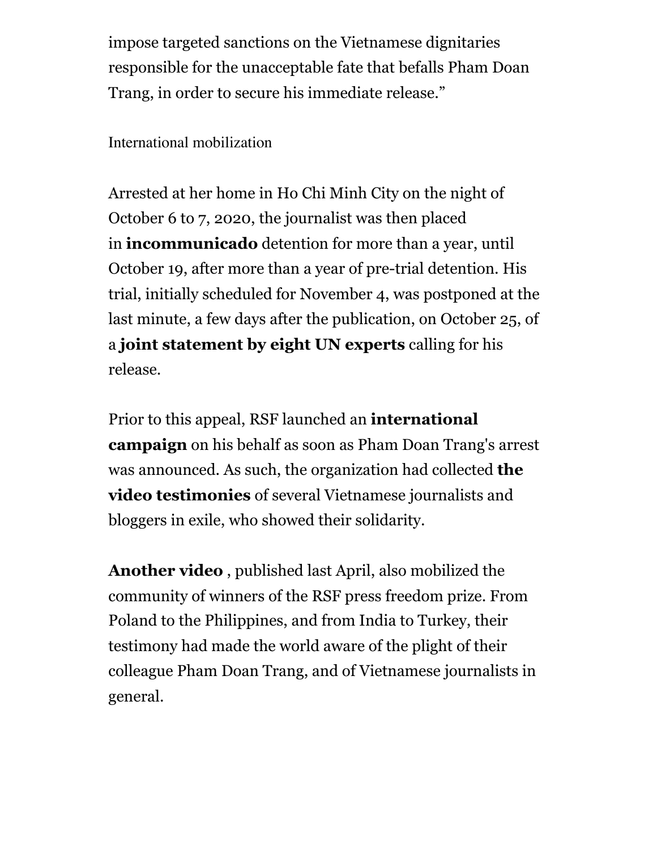impose targeted sanctions on the Vietnamese dignitaries responsible for the unacceptable fate that befalls Pham Doan Trang, in order to secure his immediate release."

International mobilization

Arrested at her home in Ho Chi Minh City on the night of October 6 to 7, 2020, the journalist was then placed in **[incommunicado](https://the88project.us15.list-manage.com/track/click?u=05d6d2a5f433e0dd848f7f391&id=2115445806&e=e752bf68e0)** detention for more than a year, until October 19, after more than a year of pre-trial detention. His trial, initially scheduled for November 4, was postponed at the last minute, a few days after the publication, on October 25, of a **joint [statement](https://www.ohchr.org/EN/NewsEvents/Pages/DisplayNews.aspx?NewsID=27734&LangID=E) by eight UN experts** calling for his release.

Prior to this appeal, RSF launched an **[international](https://rsf.org/fr/actualites/rsf-lance-une-campagne-pour-obtenir-la-liberation-de-la-journaliste-vietnamienne-pham-doan-trang) campaign** on his behalf as soon as Pham Doan Trang's arrest was announced. As such, the organization had collected **the video [testimonies](https://www.youtube.com/watch?time_continue=1&v=CDjN9wKgIz0&feature=emb_logo&ab_channel=Reporterssansfronti%C3%A8res)** of several Vietnamese journalists and bloggers in exile, who showed their solidarity.

**[Another](https://rsf.org/fr/actualites/plusieurs-prix-rsf-se-mobilisent-en-soutien-la-journaliste-vietnamienne-emprisonnee-pham-doan-trang) video** , published last April, also mobilized the community of winners of the RSF press freedom prize. From Poland to the Philippines, and from India to Turkey, their testimony had made the world aware of the plight of their colleague Pham Doan Trang, and of Vietnamese journalists in general.